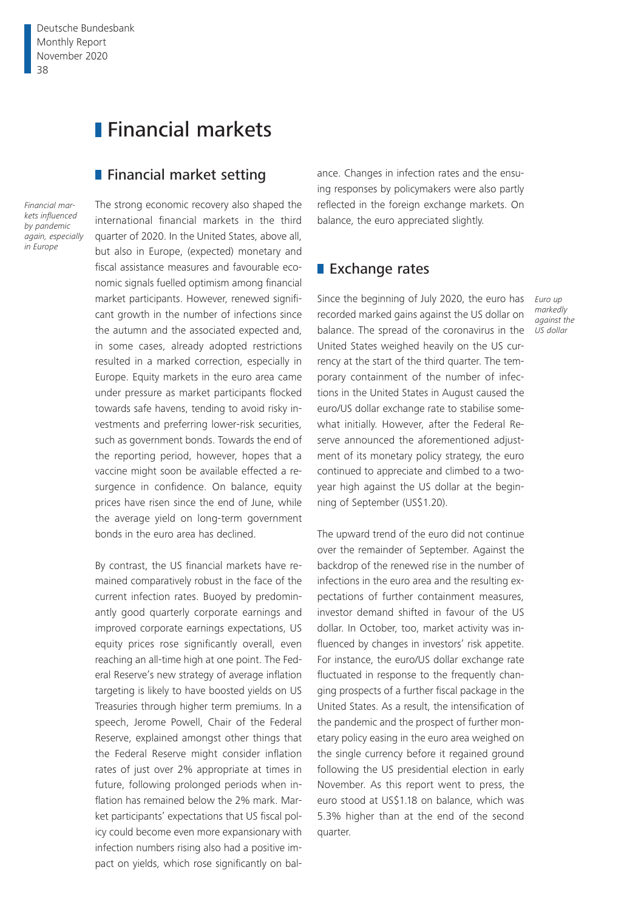# **Financial markets**

### **Financial market setting**

*Financial markets influenced by pandemic again, especially in Europe*

The strong economic recovery also shaped the international financial markets in the third quarter of 2020. In the United States, above all, but also in Europe, (expected) monetary and fiscal assistance measures and favourable economic signals fuelled optimism among financial market participants. However, renewed significant growth in the number of infections since the autumn and the associated expected and, in some cases, already adopted restrictions resulted in a marked correction, especially in Europe. Equity markets in the euro area came under pressure as market participants flocked towards safe havens, tending to avoid risky investments and preferring lower-risk securities, such as government bonds. Towards the end of the reporting period, however, hopes that a vaccine might soon be available effected a resurgence in confidence. On balance, equity prices have risen since the end of June, while the average yield on long-term government bonds in the euro area has declined.

By contrast, the US financial markets have remained comparatively robust in the face of the current infection rates. Buoyed by predominantly good quarterly corporate earnings and improved corporate earnings expectations, US equity prices rose significantly overall, even reaching an all-time high at one point. The Federal Reserve's new strategy of average inflation targeting is likely to have boosted yields on US Treasuries through higher term premiums. In a speech, Jerome Powell, Chair of the Federal Reserve, explained amongst other things that the Federal Reserve might consider inflation rates of just over 2% appropriate at times in future, following prolonged periods when inflation has remained below the 2% mark. Market participants' expectations that US fiscal policy could become even more expansionary with infection numbers rising also had a positive impact on yields, which rose significantly on bal-

ance. Changes in infection rates and the ensuing responses by policymakers were also partly reflected in the foreign exchange markets. On balance, the euro appreciated slightly.

### **Exchange rates**

Since the beginning of July 2020, the euro has recorded marked gains against the US dollar on balance. The spread of the coronavirus in the United States weighed heavily on the US currency at the start of the third quarter. The temporary containment of the number of infections in the United States in August caused the euro/US dollar exchange rate to stabilise somewhat initially. However, after the Federal Reserve announced the aforementioned adjustment of its monetary policy strategy, the euro continued to appreciate and climbed to a twoyear high against the US dollar at the beginning of September (US\$1.20).

The upward trend of the euro did not continue over the remainder of September. Against the backdrop of the renewed rise in the number of infections in the euro area and the resulting expectations of further containment measures, investor demand shifted in favour of the US dollar. In October, too, market activity was influenced by changes in investors' risk appetite. For instance, the euro/US dollar exchange rate fluctuated in response to the frequently changing prospects of a further fiscal package in the United States. As a result, the intensification of the pandemic and the prospect of further monetary policy easing in the euro area weighed on the single currency before it regained ground following the US presidential election in early November. As this report went to press, the euro stood at US\$1.18 on balance, which was 5.3% higher than at the end of the second quarter.

*Euro up markedly against the US dollar*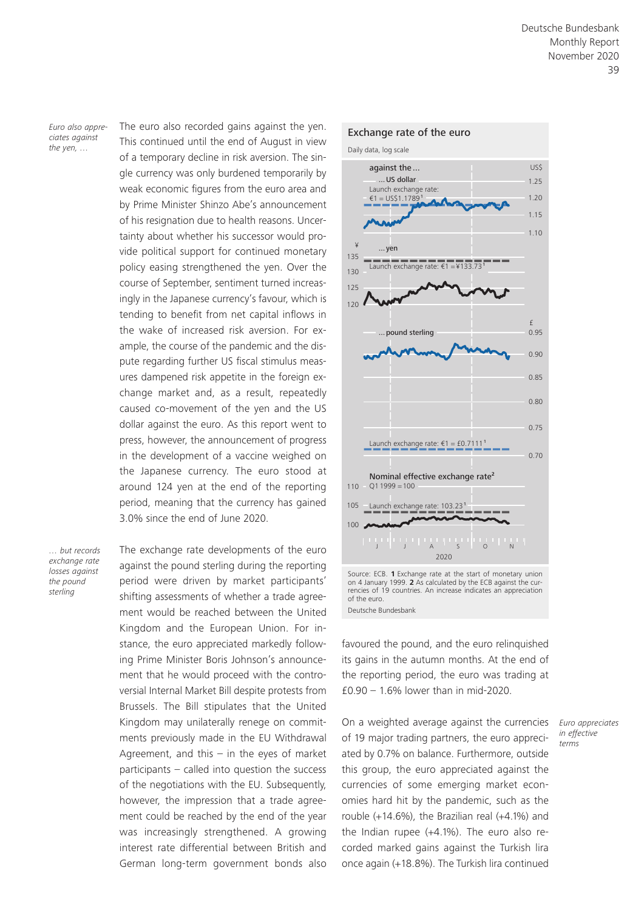*Euro also appreciates against the yen, …*

The euro also recorded gains against the yen. This continued until the end of August in view of a temporary decline in risk aversion. The single currency was only burdened temporarily by weak economic figures from the euro area and by Prime Minister Shinzo Abe's announcement of his resignation due to health reasons. Uncertainty about whether his successor would provide political support for continued monetary policy easing strengthened the yen. Over the course of September, sentiment turned increasingly in the Japanese currency's favour, which is tending to benefit from net capital inflows in the wake of increased risk aversion. For example, the course of the pandemic and the dispute regarding further US fiscal stimulus measures dampened risk appetite in the foreign exchange market and, as a result, repeatedly caused co-movement of the yen and the US dollar against the euro. As this report went to press, however, the announcement of progress in the development of a vaccine weighed on the Japanese currency. The euro stood at around 124 yen at the end of the reporting period, meaning that the currency has gained 3.0% since the end of June 2020.

*… but records exchange rate losses against the pound sterling*

The exchange rate developments of the euro against the pound sterling during the reporting period were driven by market participants' shifting assessments of whether a trade agreement would be reached between the United Kingdom and the European Union. For instance, the euro appreciated markedly following Prime Minister Boris Johnson's announcement that he would proceed with the controversial Internal Market Bill despite protests from Brussels. The Bill stipulates that the United Kingdom may unilaterally renege on commitments previously made in the EU Withdrawal Agreement, and this  $-$  in the eyes of market participants – called into question the success of the negotiations with the EU. Subsequently, however, the impression that a trade agreement could be reached by the end of the year was increasingly strengthened. A growing interest rate differential between British and German long-term government bonds also



on 4 January 1999. **2** As calculated by the ECB against the currencies of 19 countries. An increase indicates an appreciation of the euro. Deutsche Bundesbank

favoured the pound, and the euro relinquished its gains in the autumn months. At the end of the reporting period, the euro was trading at £0.90 – 1.6% lower than in mid-2020.

On a weighted average against the currencies of 19 major trading partners, the euro appreciated by 0.7% on balance. Furthermore, outside this group, the euro appreciated against the currencies of some emerging market economies hard hit by the pandemic, such as the rouble (+14.6%), the Brazilian real (+4.1%) and the Indian rupee (+4.1%). The euro also recorded marked gains against the Turkish lira once again (+18.8%). The Turkish lira continued

*Euro appreciates in effective terms*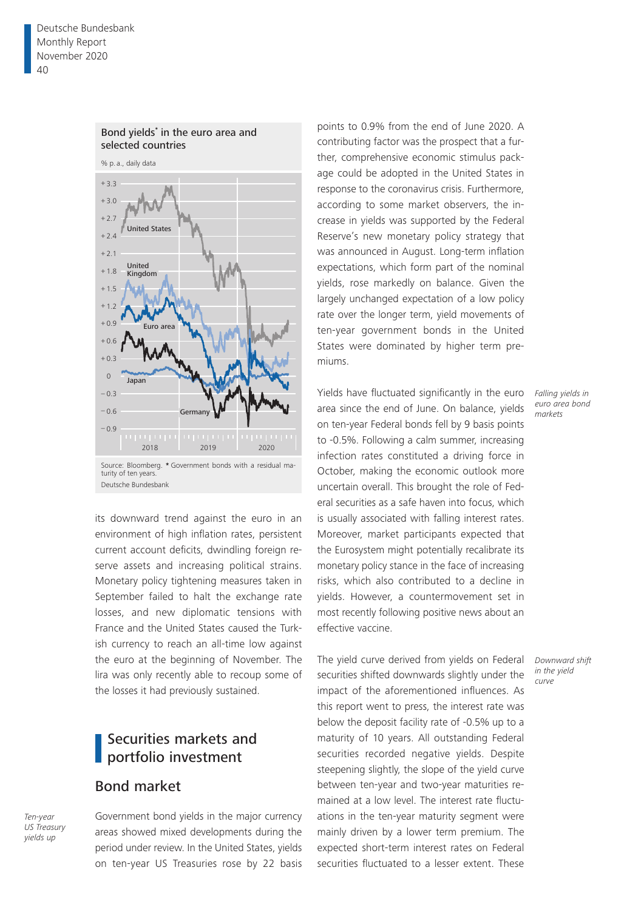

its downward trend against the euro in an environment of high inflation rates, persistent current account deficits, dwindling foreign reserve assets and increasing political strains. Monetary policy tightening measures taken in September failed to halt the exchange rate losses, and new diplomatic tensions with France and the United States caused the Turkish currency to reach an all-time low against the euro at the beginning of November. The lira was only recently able to recoup some of the losses it had previously sustained.

# Securities markets and portfolio investment

### Bond market

*Ten-year US Treasury yields up*

Government bond yields in the major currency areas showed mixed developments during the period under review. In the United States, yields on ten-year US Treasuries rose by 22 basis

points to 0.9% from the end of June 2020. A contributing factor was the prospect that a further, comprehensive economic stimulus package could be adopted in the United States in response to the coronavirus crisis. Furthermore, according to some market observers, the increase in yields was supported by the Federal Reserve's new monetary policy strategy that was announced in August. Long-term inflation expectations, which form part of the nominal yields, rose markedly on balance. Given the largely unchanged expectation of a low policy rate over the longer term, yield movements of ten-year government bonds in the United States were dominated by higher term premiums.

Yields have fluctuated significantly in the euro area since the end of June. On balance, yields on ten-year Federal bonds fell by 9 basis points to -0.5%. Following a calm summer, increasing infection rates constituted a driving force in October, making the economic outlook more uncertain overall. This brought the role of Federal securities as a safe haven into focus, which is usually associated with falling interest rates. Moreover, market participants expected that the Eurosystem might potentially recalibrate its monetary policy stance in the face of increasing risks, which also contributed to a decline in yields. However, a countermovement set in most recently following positive news about an effective vaccine.

The yield curve derived from yields on Federal securities shifted downwards slightly under the impact of the aforementioned influences. As this report went to press, the interest rate was below the deposit facility rate of -0.5% up to a maturity of 10 years. All outstanding Federal securities recorded negative yields. Despite steepening slightly, the slope of the yield curve between ten-year and two-year maturities remained at a low level. The interest rate fluctuations in the ten-year maturity segment were mainly driven by a lower term premium. The expected short-term interest rates on Federal securities fluctuated to a lesser extent. These

*Falling yields in euro area bond markets*

*Downward shift in the yield curve*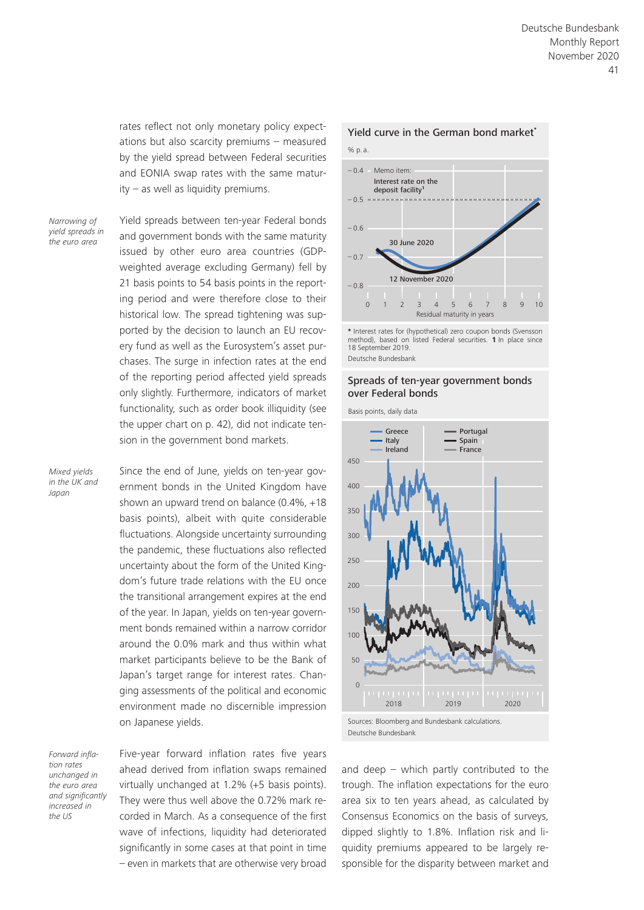rates reflect not only monetary policy expectations but also scarcity premiums – measured by the yield spread between Federal securities and EONIA swap rates with the same maturity – as well as liquidity premiums.

*Narrowing of yield spreads in the euro area*

Yield spreads between ten-year Federal bonds and government bonds with the same maturity issued by other euro area countries (GDPweighted average excluding Germany) fell by 21 basis points to 54 basis points in the reporting period and were therefore close to their historical low. The spread tightening was supported by the decision to launch an EU recovery fund as well as the Eurosystem's asset purchases. The surge in infection rates at the end of the reporting period affected yield spreads only slightly. Furthermore, indicators of market functionality, such as order book illiquidity (see the upper chart on p. 42), did not indicate tension in the government bond markets.

*Mixed yields in the UK and Japan*

Since the end of June, yields on ten-year government bonds in the United Kingdom have shown an upward trend on balance (0.4%, +18 basis points), albeit with quite considerable fluctuations. Alongside uncertainty surrounding the pandemic, these fluctuations also reflected uncertainty about the form of the United Kingdom's future trade relations with the EU once the transitional arrangement expires at the end of the year. In Japan, yields on ten-year government bonds remained within a narrow corridor around the 0.0% mark and thus within what market participants believe to be the Bank of Japan's target range for interest rates. Changing assessments of the political and economic environment made no discernible impression on Japanese yields.

*Forward inflation rates unchanged in the euro area and significantly increased in the US*

Five-year forward inflation rates five years ahead derived from inflation swaps remained virtually unchanged at 1.2% (+5 basis points). They were thus well above the 0.72% mark recorded in March. As a consequence of the first wave of infections, liquidity had deteriorated significantly in some cases at that point in time – even in markets that are otherwise very broad



**<sup>\*</sup>** Interest rates for (hypothetical) zero coupon bonds (Svensson method), based on listed Federal securities. **1** In place since 18 September 2019

Deutsche Bundesbank

#### Spreads of ten-year government bonds over Federal bonds

Basis points, daily data



and deep  $-$  which partly contributed to the trough. The inflation expectations for the euro area six to ten years ahead, as calculated by Consensus Economics on the basis of surveys, dipped slightly to 1.8%. Inflation risk and liquidity premiums appeared to be largely responsible for the disparity between market and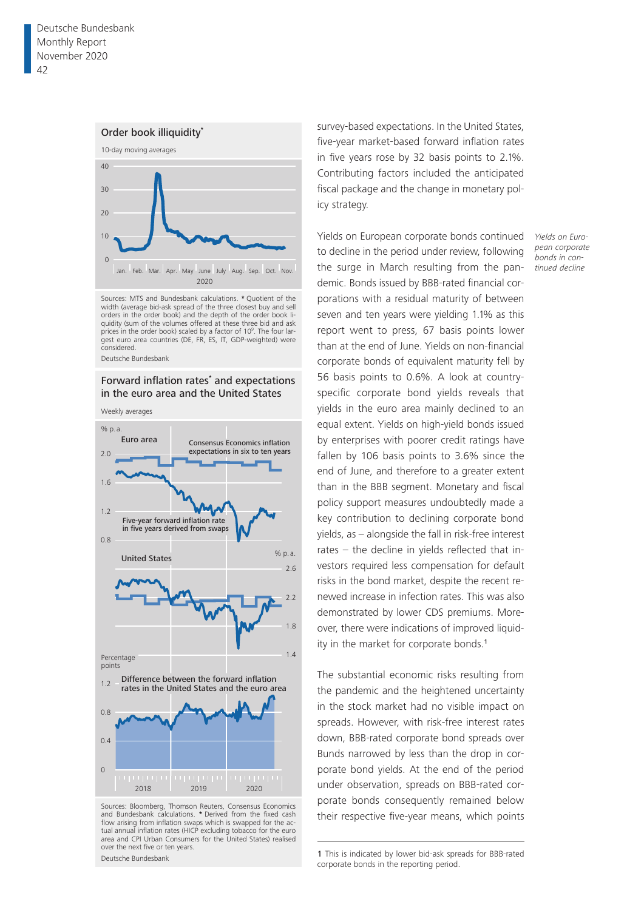#### Order book illiquidity**\***



Sources: MTS and Bundesbank calculations. **\*** Quotient of the width (average bid-ask spread of the three closest buy and sell orders in the order book) and the depth of the order book liquidity (sum of the volumes offered at these three bid and ask prices in the order book) scaled by a factor of 109 . The four largest euro area countries (DE, FR, ES, IT, GDP-weighted) were considered.

Deutsche Bundesbank

#### Forward inflation rates<sup>\*</sup> and expectations in the euro area and the United States

Weekly averages



Sources: Bloomberg, Thomson Reuters, Consensus Economics and Bundesbank calculations. **\*** Derived from the fixed cash flow arising from inflation swaps which is swapped for the actual annual inflation rates (HICP excluding tobacco for the euro area and CPI Urban Consumers for the United States) realised over the next five or ten years. Deutsche Bundesbank

survey-based expectations. In the United States, five-year market-based forward inflation rates in five years rose by 32 basis points to 2.1%. Contributing factors included the anticipated fiscal package and the change in monetary policy strategy.

Yields on European corporate bonds continued to decline in the period under review, following the surge in March resulting from the pandemic. Bonds issued by BBB-rated financial corporations with a residual maturity of between seven and ten years were yielding 1.1% as this report went to press, 67 basis points lower than at the end of June. Yields on non-financial corporate bonds of equivalent maturity fell by 56 basis points to 0.6%. A look at countryspecific corporate bond yields reveals that yields in the euro area mainly declined to an equal extent. Yields on high-yield bonds issued by enterprises with poorer credit ratings have fallen by 106 basis points to 3.6% since the end of June, and therefore to a greater extent than in the BBB segment. Monetary and fiscal policy support measures undoubtedly made a key contribution to declining corporate bond yields, as – alongside the fall in risk-free interest rates – the decline in yields reflected that investors required less compensation for default risks in the bond market, despite the recent renewed increase in infection rates. This was also demonstrated by lower CDS premiums. Moreover, there were indications of improved liquidity in the market for corporate bonds.<sup>1</sup>

The substantial economic risks resulting from the pandemic and the heightened uncertainty in the stock market had no visible impact on spreads. However, with risk-free interest rates down, BBB-rated corporate bond spreads over Bunds narrowed by less than the drop in corporate bond yields. At the end of the period under observation, spreads on BBB-rated corporate bonds consequently remained below their respective five-year means, which points

1 This is indicated by lower bid-ask spreads for BBB-rated corporate bonds in the reporting period.

*Yields on European corporate bonds in continued decline*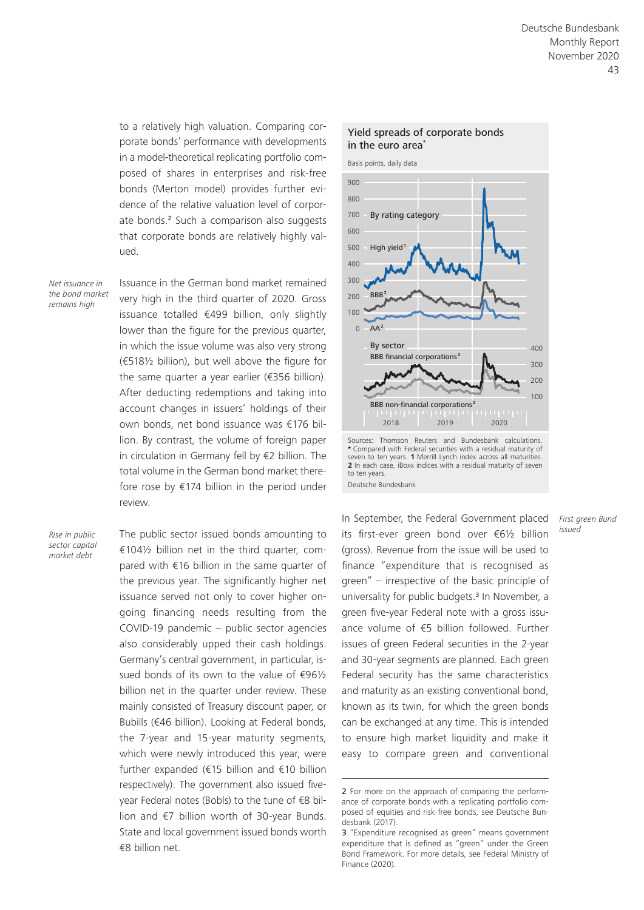to a relatively high valuation. Comparing corporate bonds' performance with developments in a model-theoretical replicating portfolio composed of shares in enterprises and risk-free bonds (Merton model) provides further evidence of the relative valuation level of corporate bonds.<sup>2</sup> Such a comparison also suggests that corporate bonds are relatively highly valued.

*Net issuance in the bond market remains high*

Issuance in the German bond market remained very high in the third quarter of 2020. Gross issuance totalled €499 billion, only slightly lower than the figure for the previous quarter, in which the issue volume was also very strong (€518½ billion), but well above the figure for the same quarter a year earlier (€356 billion). After deducting redemptions and taking into account changes in issuers' holdings of their own bonds, net bond issuance was €176 billion. By contrast, the volume of foreign paper in circulation in Germany fell by €2 billion. The total volume in the German bond market therefore rose by €174 billion in the period under review.

*Rise in public sector capital market debt*

The public sector issued bonds amounting to €104½ billion net in the third quarter, compared with €16 billion in the same quarter of the previous year. The significantly higher net issuance served not only to cover higher ongoing financing needs resulting from the COVID-19 pandemic – public sector agencies also considerably upped their cash holdings. Germany's central government, in particular, issued bonds of its own to the value of €96½ billion net in the quarter under review. These mainly consisted of Treasury discount paper, or Bubills (€46 billion). Looking at Federal bonds, the 7-year and 15-year maturity segments, which were newly introduced this year, were further expanded (€15 billion and €10 billion respectively). The government also issued fiveyear Federal notes (Bobls) to the tune of €8 billion and €7 billion worth of 30-year Bunds. State and local government issued bonds worth €8 billion net.



**<sup>\*</sup>** Compared with Federal securities with a residual maturity of seven to ten years. **1** Merrill Lynch index across all maturities. **2** In each case, iBoxx indices with a residual maturity of seven to ten years. Deutsche Bundesbank

In September, the Federal Government placed its first-ever green bond over €6½ billion (gross). Revenue from the issue will be used to finance "expenditure that is recognised as green" – irrespective of the basic principle of universality for public budgets.3 In November, a green five-year Federal note with a gross issuance volume of €5 billion followed. Further issues of green Federal securities in the 2-year and 30-year segments are planned. Each green Federal security has the same characteristics and maturity as an existing conventional bond, known as its twin, for which the green bonds can be exchanged at any time. This is intended to ensure high market liquidity and make it easy to compare green and conventional

*First green Bund issued*

<sup>2</sup> For more on the approach of comparing the performance of corporate bonds with a replicating portfolio composed of equities and risk-free bonds, see Deutsche Bundesbank (2017).

<sup>3</sup> "Expenditure recognised as green" means government expenditure that is defined as "green" under the Green Bond Framework. For more details, see Federal Ministry of Finance (2020).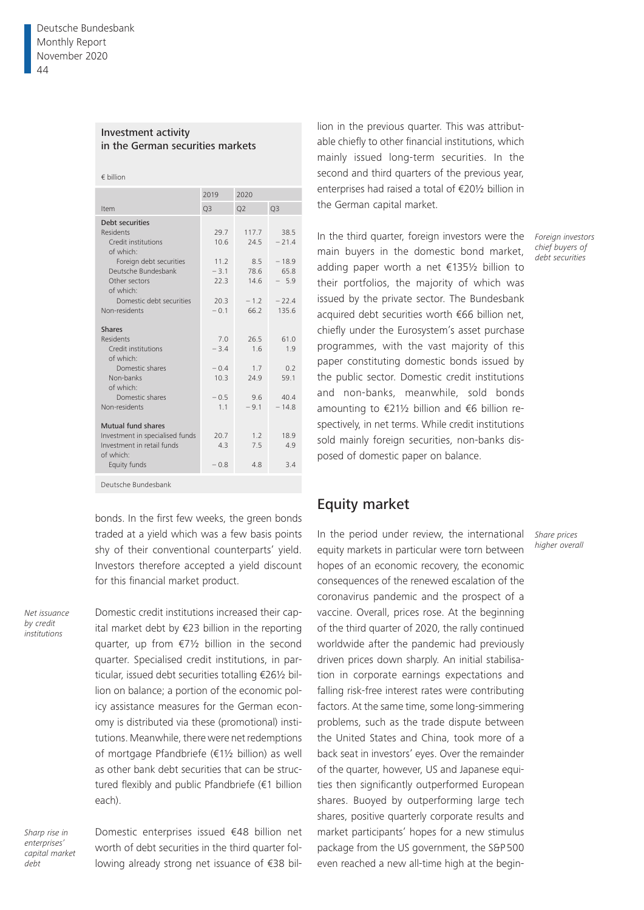#### Investment activity in the German securities markets

|  | $\epsilon$ billion |
|--|--------------------|
|  |                    |

|                                                                                                                                                                                     | 2019                                           | 2020                                           |                                                         |  |
|-------------------------------------------------------------------------------------------------------------------------------------------------------------------------------------|------------------------------------------------|------------------------------------------------|---------------------------------------------------------|--|
| Item                                                                                                                                                                                | Q <sub>3</sub>                                 | Q <sub>2</sub>                                 | Q <sub>3</sub>                                          |  |
| Debt securities<br><b>Residents</b><br>Credit institutions<br>of which:<br>Foreign debt securities<br>Deutsche Bundesbank<br>Other sectors<br>of which:<br>Domestic debt securities | 29.7<br>10.6<br>11.2<br>$-3.1$<br>22.3<br>20.3 | 117.7<br>24.5<br>8.5<br>78.6<br>14.6<br>$-1.2$ | 38.5<br>$-21.4$<br>$-18.9$<br>65.8<br>$-5.9$<br>$-22.4$ |  |
| Non-residents                                                                                                                                                                       | $-0.1$                                         | 66.2                                           | 135.6                                                   |  |
| <b>Shares</b><br>Residents<br>Credit institutions<br>of which:<br>Domestic shares<br>Non-banks<br>of which:<br>Domestic shares<br>Non-residents                                     | 70<br>$-3.4$<br>$-0.4$<br>10.3<br>$-0.5$<br>11 | 26.5<br>1.6<br>1.7<br>24.9<br>9.6<br>$-9.1$    | 61.0<br>1.9<br>0.2<br>59.1<br>40.4<br>$-14.8$           |  |
| Mutual fund shares<br>Investment in specialised funds<br>Investment in retail funds<br>of which:<br>Equity funds                                                                    | 20.7<br>4.3<br>$-0.8$                          | 1.2<br>7.5<br>4.8                              | 18.9<br>4.9<br>3.4                                      |  |
| Deutsche Bundesbank                                                                                                                                                                 |                                                |                                                |                                                         |  |

bonds. In the first few weeks, the green bonds traded at a yield which was a few basis points shy of their conventional counterparts' yield. Investors therefore accepted a yield discount for this financial market product.

*Net issuance by credit institutions*

Domestic credit institutions increased their capital market debt by €23 billion in the reporting quarter, up from €7½ billion in the second quarter. Specialised credit institutions, in particular, issued debt securities totalling €26½ billion on balance; a portion of the economic policy assistance measures for the German economy is distributed via these (promotional) institutions. Meanwhile, there were net redemptions of mortgage Pfandbriefe (€1½ billion) as well as other bank debt securities that can be structured flexibly and public Pfandbriefe (€1 billion each).

*Sharp rise in enterprises' capital market debt*

Domestic enterprises issued €48 billion net worth of debt securities in the third quarter following already strong net issuance of €38 billion in the previous quarter. This was attributable chiefly to other financial institutions, which mainly issued long-term securities. In the second and third quarters of the previous year, enterprises had raised a total of €20½ billion in the German capital market.

In the third quarter, foreign investors were the main buyers in the domestic bond market, adding paper worth a net €135½ billion to their portfolios, the majority of which was issued by the private sector. The Bundesbank acquired debt securities worth €66 billion net, chiefly under the Eurosystem's asset purchase programmes, with the vast majority of this paper constituting domestic bonds issued by the public sector. Domestic credit institutions and non-banks, meanwhile, sold bonds amounting to €21½ billion and €6 billion respectively, in net terms. While credit institutions sold mainly foreign securities, non-banks disposed of domestic paper on balance.

### Equity market

In the period under review, the international equity markets in particular were torn between hopes of an economic recovery, the economic consequences of the renewed escalation of the coronavirus pandemic and the prospect of a vaccine. Overall, prices rose. At the beginning of the third quarter of 2020, the rally continued worldwide after the pandemic had previously driven prices down sharply. An initial stabilisation in corporate earnings expectations and falling risk-free interest rates were contributing factors. At the same time, some long-simmering problems, such as the trade dispute between the United States and China, took more of a back seat in investors' eyes. Over the remainder of the quarter, however, US and Japanese equities then significantly outperformed European shares. Buoyed by outperforming large tech shares, positive quarterly corporate results and market participants' hopes for a new stimulus package from the US government, the S&P500 even reached a new all-time high at the begin-

*Foreign investors chief buyers of debt securities*

*Share prices higher overall*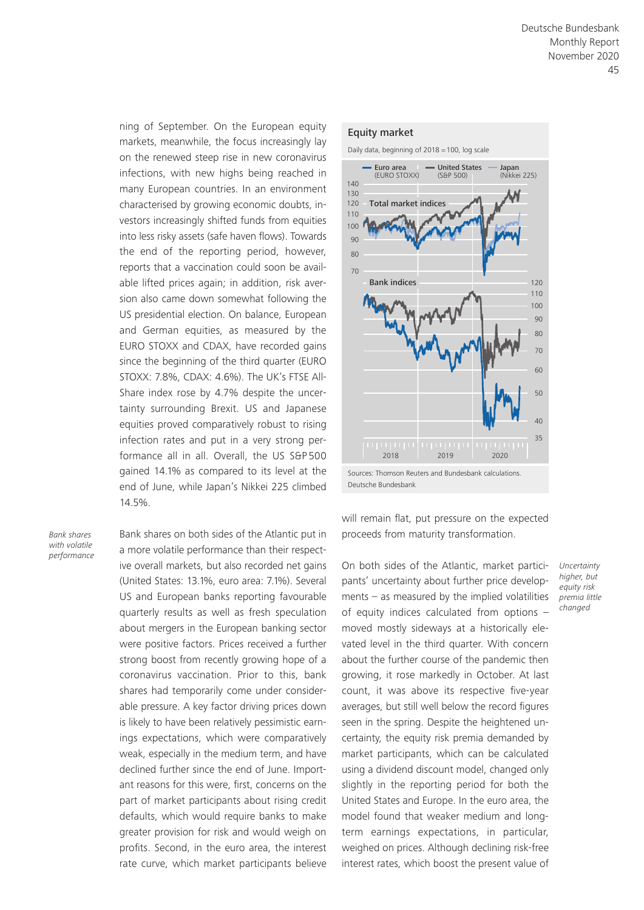ning of September. On the European equity markets, meanwhile, the focus increasingly lay on the renewed steep rise in new coronavirus infections, with new highs being reached in many European countries. In an environment characterised by growing economic doubts, investors increasingly shifted funds from equities into less risky assets (safe haven flows). Towards the end of the reporting period, however, reports that a vaccination could soon be available lifted prices again; in addition, risk aversion also came down somewhat following the US presidential election. On balance, European and German equities, as measured by the EURO STOXX and CDAX, have recorded gains since the beginning of the third quarter (EURO STOXX: 7.8%, CDAX: 4.6%). The UK's FTSE All-Share index rose by 4.7% despite the uncertainty surrounding Brexit. US and Japanese equities proved comparatively robust to rising infection rates and put in a very strong performance all in all. Overall, the US S&P 500 gained 14.1% as compared to its level at the end of June, while Japan's Nikkei 225 climbed 14.5%.

*Bank shares with volatile performance*

Bank shares on both sides of the Atlantic put in a more volatile performance than their respective overall markets, but also recorded net gains (United States: 13.1%, euro area: 7.1%). Several US and European banks reporting favourable quarterly results as well as fresh speculation about mergers in the European banking sector were positive factors. Prices received a further strong boost from recently growing hope of a coronavirus vaccination. Prior to this, bank shares had temporarily come under considerable pressure. A key factor driving prices down is likely to have been relatively pessimistic earnings expectations, which were comparatively weak, especially in the medium term, and have declined further since the end of June. Important reasons for this were, first, concerns on the part of market participants about rising credit defaults, which would require banks to make greater provision for risk and would weigh on profits. Second, in the euro area, the interest rate curve, which market participants believe

#### Equity market

Daily data, beginning of 2018 = 100, log scale



will remain flat, put pressure on the expected proceeds from maturity transformation.

On both sides of the Atlantic, market participants' uncertainty about further price developments – as measured by the implied volatilities of equity indices calculated from options  $$ moved mostly sideways at a historically elevated level in the third quarter. With concern about the further course of the pandemic then growing, it rose markedly in October. At last count, it was above its respective five-year averages, but still well below the record figures seen in the spring. Despite the heightened uncertainty, the equity risk premia demanded by market participants, which can be calculated using a dividend discount model, changed only slightly in the reporting period for both the United States and Europe. In the euro area, the model found that weaker medium and longterm earnings expectations, in particular, weighed on prices. Although declining risk-free interest rates, which boost the present value of

*Uncertainty higher, but equity risk premia little changed*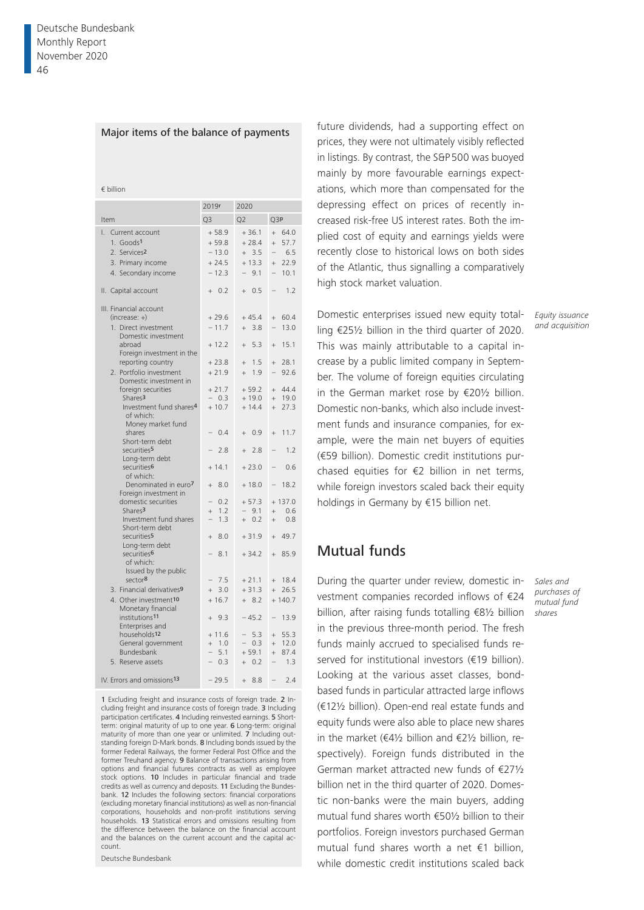#### Major items of the balance of payments

€ billion

|                                                                                                                                                                                                                                                                                                                                                                                                                                                                                                                                                                                                                                                                                                                                                                                                                                                         | 2019r                                                                                                                                                                                                                                                   | 2020                                                                                                                                                                                                                                                       |                                                                                                                                                                                                                                                                                                             |
|---------------------------------------------------------------------------------------------------------------------------------------------------------------------------------------------------------------------------------------------------------------------------------------------------------------------------------------------------------------------------------------------------------------------------------------------------------------------------------------------------------------------------------------------------------------------------------------------------------------------------------------------------------------------------------------------------------------------------------------------------------------------------------------------------------------------------------------------------------|---------------------------------------------------------------------------------------------------------------------------------------------------------------------------------------------------------------------------------------------------------|------------------------------------------------------------------------------------------------------------------------------------------------------------------------------------------------------------------------------------------------------------|-------------------------------------------------------------------------------------------------------------------------------------------------------------------------------------------------------------------------------------------------------------------------------------------------------------|
| Item                                                                                                                                                                                                                                                                                                                                                                                                                                                                                                                                                                                                                                                                                                                                                                                                                                                    | Q <sub>3</sub>                                                                                                                                                                                                                                          | O <sub>2</sub>                                                                                                                                                                                                                                             | Q3P                                                                                                                                                                                                                                                                                                         |
| L.<br>Current account<br>1. Goods1<br>2. Services <sub>2</sub><br>3. Primary income<br>4. Secondary income                                                                                                                                                                                                                                                                                                                                                                                                                                                                                                                                                                                                                                                                                                                                              | $+58.9$<br>$+59.8$<br>$-13.0$<br>$+24.5$<br>$-12.3$                                                                                                                                                                                                     | $+36.1$<br>$+28.4$<br>$+3.5$<br>$+13.3$<br>9.1                                                                                                                                                                                                             | 64.0<br>$\ddot{}$<br>57.7<br>$\ddot{}$<br>6.5<br>22.9<br>$^{+}$<br>10.1<br>$\overline{\phantom{0}}$                                                                                                                                                                                                         |
| II. Capital account                                                                                                                                                                                                                                                                                                                                                                                                                                                                                                                                                                                                                                                                                                                                                                                                                                     | $+ 0.2$                                                                                                                                                                                                                                                 | $+ 0.5$                                                                                                                                                                                                                                                    | 1.2                                                                                                                                                                                                                                                                                                         |
| III. Financial account<br>$(increase: +)$<br>1. Direct investment<br>Domestic investment<br>abroad<br>Foreign investment in the<br>reporting country<br>2. Portfolio investment<br>Domestic investment in<br>foreign securities<br>Shares <sup>3</sup><br>Investment fund shares <sup>4</sup><br>of which:<br>Money market fund<br>shares<br>Short-term debt<br>securities <sup>5</sup><br>Long-term debt<br>securities <sup>6</sup><br>of which:<br>Denominated in euro7<br>Foreign investment in<br>domestic securities<br>Shares <sup>3</sup><br>Investment fund shares<br>Short-term debt<br>securities <sup>5</sup><br>Long-term debt<br>securities <sup>6</sup><br>of which:<br>Issued by the public<br>sector <sup>8</sup><br>3. Financial derivatives <sup>9</sup><br>4. Other investment10<br>Monetary financial<br>institutions <sup>11</sup> | $+79.6$<br>$-11.7$<br>$+12.2$<br>$+23.8$<br>$+21.9$<br>$+21.7$<br>$-0.3$<br>$+10.7$<br>0.4<br>2.8<br>$+14.1$<br>8.0<br>$+$<br>0.2<br>1.2<br>$^{+}$<br>1.3<br>8.0<br>$^{+}$<br>8.1<br>7.5<br>$\overline{\phantom{0}}$<br>3.0<br>$+$<br>$+16.7$<br>$+9.3$ | $+45.4$<br>3.8<br>$+$<br>5.3<br>$+$<br>1.5<br>$^{+}$<br>1.9<br>$^{+}$<br>$+59.2$<br>$+19.0$<br>$+14.4$<br>$+ 0.9$<br>2.8<br>$+$<br>$+23.0$<br>$+18.0$<br>$+57.3$<br>9.1<br>$-$<br>$+ 0.2$<br>$+31.9$<br>$+34.2$<br>$+21.1$<br>$+31.3$<br>$+8.2$<br>$-45.2$ | 60.4<br>$+$<br>13.0<br>15.1<br>$\ddot{}$<br>28.1<br>$\ddot{}$<br>92.6<br>$\overline{\phantom{0}}$<br>44.4<br>$+$<br>$+ 19.0$<br>27.3<br>$+$<br>11.7<br>$+$<br>1.2<br>0.6<br>18.2<br>$+137.0$<br>0.6<br>$^{+}$<br>0.8<br>$+$<br>49.7<br>$+$<br>85.9<br>$+$<br>18.4<br>$+$<br>26.5<br>$+$<br>$+140.7$<br>13.9 |
| Enterprises and<br>households <sup>12</sup><br>General government<br>Bundesbank<br>5. Reserve assets<br>IV. Errors and omissions <sup>13</sup>                                                                                                                                                                                                                                                                                                                                                                                                                                                                                                                                                                                                                                                                                                          | $+11.6$<br>1.0<br>$+$<br>5.1<br>0.3<br>$-29.5$                                                                                                                                                                                                          | $-5.3$<br>$-0.3$<br>$+59.1$<br>$+ 0.2$<br>$+8.8$                                                                                                                                                                                                           | 55.3<br>$+$<br>12.0<br>$+$<br>87.4<br>$+$<br>1.3<br>$\overline{\phantom{0}}$<br>2.4<br>$\overline{\phantom{0}}$                                                                                                                                                                                             |
|                                                                                                                                                                                                                                                                                                                                                                                                                                                                                                                                                                                                                                                                                                                                                                                                                                                         |                                                                                                                                                                                                                                                         |                                                                                                                                                                                                                                                            |                                                                                                                                                                                                                                                                                                             |

1 Excluding freight and insurance costs of foreign trade. 2 Including freight and insurance costs of foreign trade. 3 Including participation certificates. 4 Including reinvested earnings. 5 Shortterm: original maturity of up to one year. 6 Long-term: original maturity of more than one year or unlimited. 7 Including outstanding foreign D-Mark bonds. 8 Including bonds issued by the former Federal Railways, the former Federal Post Office and the former Treuhand agency. 9 Balance of transactions arising from options and financial futures contracts as well as employee stock options. 10 Includes in particular financial and trade credits as well as currency and deposits. 11 Excluding the Bundesbank. 12 Includes the following sectors: financial corporations (excluding monetary financial institutions) as well as non-financial corporations, households and non-profit institutions serving households. 13 Statistical errors and omissions resulting from the difference between the balance on the financial account and the balances on the current account and the capital account.

Deutsche Bundesbank

future dividends, had a supporting effect on prices, they were not ultimately visibly reflected in listings. By contrast, the S&P500 was buoyed mainly by more favourable earnings expectations, which more than compensated for the depressing effect on prices of recently increased risk-free US interest rates. Both the implied cost of equity and earnings yields were recently close to historical lows on both sides of the Atlantic, thus signalling a comparatively high stock market valuation.

Domestic enterprises issued new equity totalling €25½ billion in the third quarter of 2020. This was mainly attributable to a capital increase by a public limited company in September. The volume of foreign equities circulating in the German market rose by €20½ billion. Domestic non-banks, which also include investment funds and insurance companies, for example, were the main net buyers of equities (€59 billion). Domestic credit institutions purchased equities for €2 billion in net terms, while foreign investors scaled back their equity holdings in Germany by €15 billion net.

# Mutual funds

During the quarter under review, domestic investment companies recorded inflows of €24 billion, after raising funds totalling €8½ billion in the previous three-month period. The fresh funds mainly accrued to specialised funds reserved for institutional investors (€19 billion). Looking at the various asset classes, bondbased funds in particular attracted large inflows (€12½ billion). Open-end real estate funds and equity funds were also able to place new shares in the market (€4½ billion and €2½ billion, respectively). Foreign funds distributed in the German market attracted new funds of €27½ billion net in the third quarter of 2020. Domestic non-banks were the main buyers, adding mutual fund shares worth €50½ billion to their portfolios. Foreign investors purchased German mutual fund shares worth a net €1 billion, while domestic credit institutions scaled back

*Sales and* 

*Equity issuance and acquisition*

*purchases of mutual fund shares*